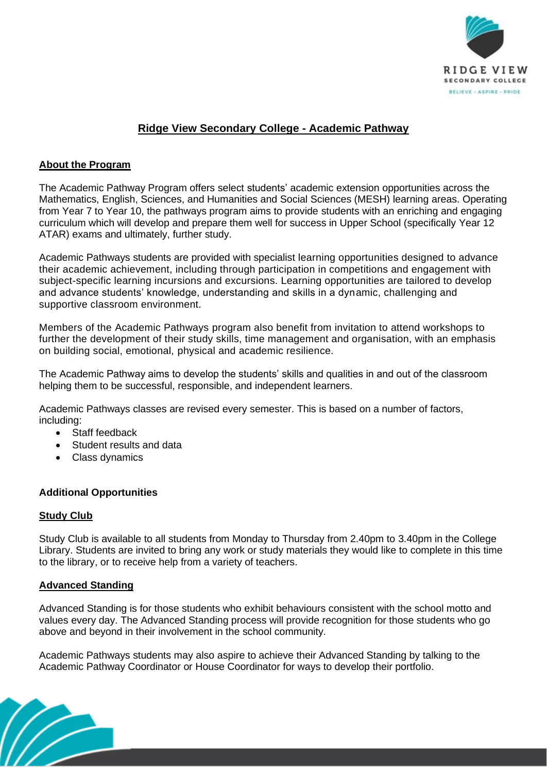

# **Ridge View Secondary College - Academic Pathway**

# **About the Program**

The Academic Pathway Program offers select students' academic extension opportunities across the Mathematics, English, Sciences, and Humanities and Social Sciences (MESH) learning areas. Operating from Year 7 to Year 10, the pathways program aims to provide students with an enriching and engaging curriculum which will develop and prepare them well for success in Upper School (specifically Year 12 ATAR) exams and ultimately, further study.

Academic Pathways students are provided with specialist learning opportunities designed to advance their academic achievement, including through participation in competitions and engagement with subject-specific learning incursions and excursions. Learning opportunities are tailored to develop and advance students' knowledge, understanding and skills in a dynamic, challenging and supportive classroom environment.

Members of the Academic Pathways program also benefit from invitation to attend workshops to further the development of their study skills, time management and organisation, with an emphasis on building social, emotional, physical and academic resilience.

The Academic Pathway aims to develop the students' skills and qualities in and out of the classroom helping them to be successful, responsible, and independent learners.

Academic Pathways classes are revised every semester. This is based on a number of factors, including:

- Staff feedback
- Student results and data
- Class dynamics

## **Additional Opportunities**

#### **Study Club**

Study Club is available to all students from Monday to Thursday from 2.40pm to 3.40pm in the College Library. Students are invited to bring any work or study materials they would like to complete in this time to the library, or to receive help from a variety of teachers.

## **Advanced Standing**

Advanced Standing is for those students who exhibit behaviours consistent with the school motto and values every day. The Advanced Standing process will provide recognition for those students who go above and beyond in their involvement in the school community.

Academic Pathways students may also aspire to achieve their Advanced Standing by talking to the Academic Pathway Coordinator or House Coordinator for ways to develop their portfolio.